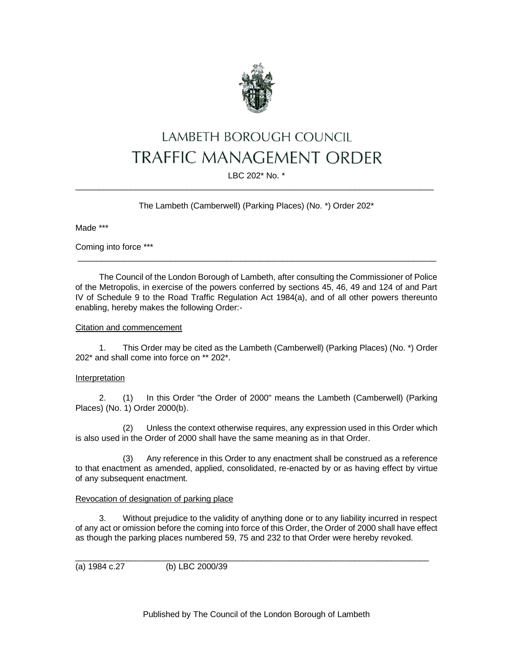

# LAMBETH BOROUGH COUNCIL **TRAFFIC MANAGEMENT ORDER**

# LBC 202\* No. \* \_\_\_\_\_\_\_\_\_\_\_\_\_\_\_\_\_\_\_\_\_\_\_\_\_\_\_\_\_\_\_\_\_\_\_\_\_\_\_\_\_\_\_\_\_\_\_\_\_\_\_\_\_\_\_\_\_\_\_\_\_\_\_\_\_\_\_\_\_\_\_\_\_\_\_\_\_

The Lambeth (Camberwell) (Parking Places) (No. \*) Order 202\*

Made \*\*\*

Coming into force \*\*\*

The Council of the London Borough of Lambeth, after consulting the Commissioner of Police of the Metropolis, in exercise of the powers conferred by sections 45, 46, 49 and 124 of and Part IV of Schedule 9 to the Road Traffic Regulation Act 1984(a), and of all other powers thereunto enabling, hereby makes the following Order:-

 $\_$  ,  $\_$  ,  $\_$  ,  $\_$  ,  $\_$  ,  $\_$  ,  $\_$  ,  $\_$  ,  $\_$  ,  $\_$  ,  $\_$  ,  $\_$  ,  $\_$  ,  $\_$  ,  $\_$  ,  $\_$  ,  $\_$  ,  $\_$  ,  $\_$  ,  $\_$  ,  $\_$  ,  $\_$  ,  $\_$  ,  $\_$  ,  $\_$  ,  $\_$  ,  $\_$  ,  $\_$  ,  $\_$  ,  $\_$  ,  $\_$  ,  $\_$  ,  $\_$  ,  $\_$  ,  $\_$  ,  $\_$  ,  $\_$  ,

# **Citation and commencement**

1. This Order may be cited as the Lambeth (Camberwell) (Parking Places) (No. \*) Order 202\* and shall come into force on \*\* 202\*.

# Interpretation

2. (1) In this Order "the Order of 2000" means the Lambeth (Camberwell) (Parking Places) (No. 1) Order 2000(b).

(2) Unless the context otherwise requires, any expression used in this Order which is also used in the Order of 2000 shall have the same meaning as in that Order.

(3) Any reference in this Order to any enactment shall be construed as a reference to that enactment as amended, applied, consolidated, re-enacted by or as having effect by virtue of any subsequent enactment.

#### Revocation of designation of parking place

3. Without prejudice to the validity of anything done or to any liability incurred in respect of any act or omission before the coming into force of this Order, the Order of 2000 shall have effect as though the parking places numbered 59, 75 and 232 to that Order were hereby revoked.

 $\_$  ,  $\_$  ,  $\_$  ,  $\_$  ,  $\_$  ,  $\_$  ,  $\_$  ,  $\_$  ,  $\_$  ,  $\_$  ,  $\_$  ,  $\_$  ,  $\_$  ,  $\_$  ,  $\_$  ,  $\_$  ,  $\_$  ,  $\_$  ,  $\_$  ,  $\_$  ,  $\_$  ,  $\_$  ,  $\_$  ,  $\_$  ,  $\_$  ,  $\_$  ,  $\_$  ,  $\_$  ,  $\_$  ,  $\_$  ,  $\_$  ,  $\_$  ,  $\_$  ,  $\_$  ,  $\_$  ,  $\_$  ,  $\_$  ,

(a) 1984 c.27 (b) LBC 2000/39

Published by The Council of the London Borough of Lambeth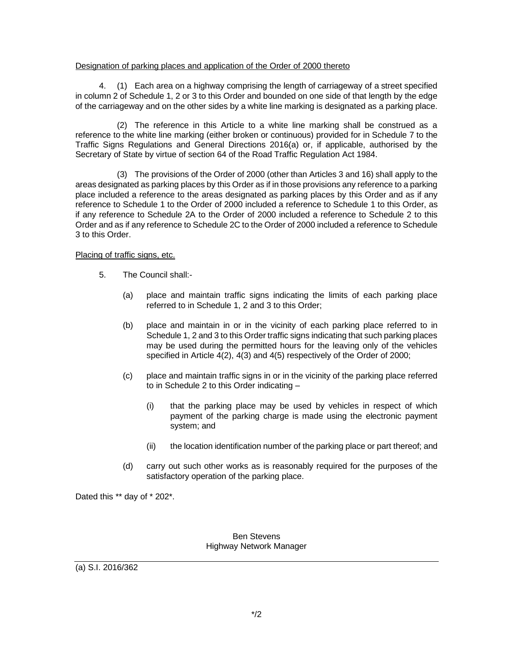#### Designation of parking places and application of the Order of 2000 thereto

4. (1) Each area on a highway comprising the length of carriageway of a street specified in column 2 of Schedule 1, 2 or 3 to this Order and bounded on one side of that length by the edge of the carriageway and on the other sides by a white line marking is designated as a parking place.

(2) The reference in this Article to a white line marking shall be construed as a reference to the white line marking (either broken or continuous) provided for in Schedule 7 to the Traffic Signs Regulations and General Directions 2016(a) or, if applicable, authorised by the Secretary of State by virtue of section 64 of the Road Traffic Regulation Act 1984.

(3) The provisions of the Order of 2000 (other than Articles 3 and 16) shall apply to the areas designated as parking places by this Order as if in those provisions any reference to a parking place included a reference to the areas designated as parking places by this Order and as if any reference to Schedule 1 to the Order of 2000 included a reference to Schedule 1 to this Order, as if any reference to Schedule 2A to the Order of 2000 included a reference to Schedule 2 to this Order and as if any reference to Schedule 2C to the Order of 2000 included a reference to Schedule 3 to this Order.

#### Placing of traffic signs, etc.

- 5. The Council shall:-
	- (a) place and maintain traffic signs indicating the limits of each parking place referred to in Schedule 1, 2 and 3 to this Order;
	- (b) place and maintain in or in the vicinity of each parking place referred to in Schedule 1, 2 and 3 to this Order traffic signs indicating that such parking places may be used during the permitted hours for the leaving only of the vehicles specified in Article 4(2), 4(3) and 4(5) respectively of the Order of 2000;
	- (c) place and maintain traffic signs in or in the vicinity of the parking place referred to in Schedule 2 to this Order indicating –
		- (i) that the parking place may be used by vehicles in respect of which payment of the parking charge is made using the electronic payment system; and
		- (ii) the location identification number of the parking place or part thereof; and
	- (d) carry out such other works as is reasonably required for the purposes of the satisfactory operation of the parking place.

Dated this \*\* day of \* 202\*.

### Ben Stevens Highway Network Manager

(a) S.I. 2016/362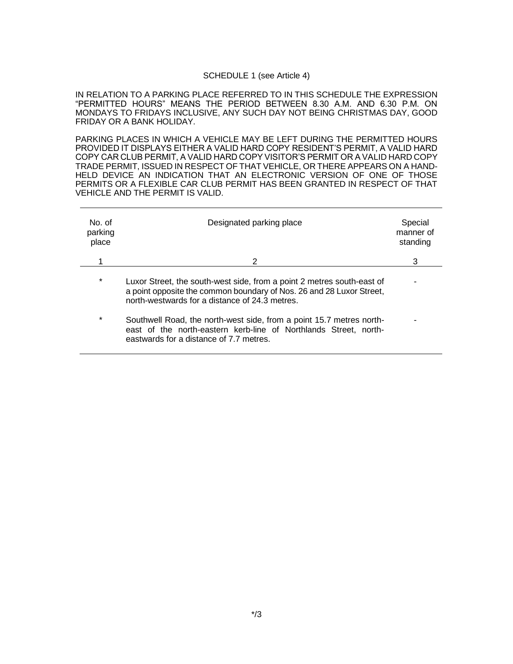#### SCHEDULE 1 (see Article 4)

IN RELATION TO A PARKING PLACE REFERRED TO IN THIS SCHEDULE THE EXPRESSION "PERMITTED HOURS" MEANS THE PERIOD BETWEEN 8.30 A.M. AND 6.30 P.M. ON MONDAYS TO FRIDAYS INCLUSIVE, ANY SUCH DAY NOT BEING CHRISTMAS DAY, GOOD FRIDAY OR A BANK HOLIDAY.

PARKING PLACES IN WHICH A VEHICLE MAY BE LEFT DURING THE PERMITTED HOURS PROVIDED IT DISPLAYS EITHER A VALID HARD COPY RESIDENT'S PERMIT, A VALID HARD COPY CAR CLUB PERMIT, A VALID HARD COPY VISITOR'S PERMIT OR A VALID HARD COPY TRADE PERMIT, ISSUED IN RESPECT OF THAT VEHICLE, OR THERE APPEARS ON A HAND-HELD DEVICE AN INDICATION THAT AN ELECTRONIC VERSION OF ONE OF THOSE PERMITS OR A FLEXIBLE CAR CLUB PERMIT HAS BEEN GRANTED IN RESPECT OF THAT VEHICLE AND THE PERMIT IS VALID.

| No of<br>parking<br>place | Designated parking place                                                                                                                                                                         | Special<br>manner of<br>standing |
|---------------------------|--------------------------------------------------------------------------------------------------------------------------------------------------------------------------------------------------|----------------------------------|
|                           | 2                                                                                                                                                                                                | 3                                |
| $\star$                   | Luxor Street, the south-west side, from a point 2 metres south-east of<br>a point opposite the common boundary of Nos. 26 and 28 Luxor Street,<br>north-westwards for a distance of 24.3 metres. |                                  |
| *                         | Southwell Road, the north-west side, from a point 15.7 metres north-<br>east of the north-eastern kerb-line of Northlands Street, north-<br>eastwards for a distance of 7.7 metres.              |                                  |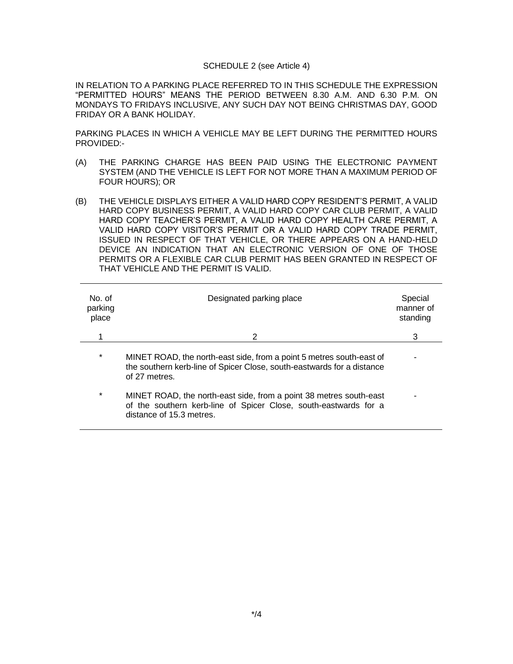#### SCHEDULE 2 (see Article 4)

IN RELATION TO A PARKING PLACE REFERRED TO IN THIS SCHEDULE THE EXPRESSION "PERMITTED HOURS" MEANS THE PERIOD BETWEEN 8.30 A.M. AND 6.30 P.M. ON MONDAYS TO FRIDAYS INCLUSIVE, ANY SUCH DAY NOT BEING CHRISTMAS DAY, GOOD FRIDAY OR A BANK HOLIDAY.

PARKING PLACES IN WHICH A VEHICLE MAY BE LEFT DURING THE PERMITTED HOURS PROVIDED:-

- (A) THE PARKING CHARGE HAS BEEN PAID USING THE ELECTRONIC PAYMENT SYSTEM (AND THE VEHICLE IS LEFT FOR NOT MORE THAN A MAXIMUM PERIOD OF FOUR HOURS); OR
- (B) THE VEHICLE DISPLAYS EITHER A VALID HARD COPY RESIDENT'S PERMIT, A VALID HARD COPY BUSINESS PERMIT, A VALID HARD COPY CAR CLUB PERMIT, A VALID HARD COPY TEACHER'S PERMIT, A VALID HARD COPY HEALTH CARE PERMIT, A VALID HARD COPY VISITOR'S PERMIT OR A VALID HARD COPY TRADE PERMIT, ISSUED IN RESPECT OF THAT VEHICLE, OR THERE APPEARS ON A HAND-HELD DEVICE AN INDICATION THAT AN ELECTRONIC VERSION OF ONE OF THOSE PERMITS OR A FLEXIBLE CAR CLUB PERMIT HAS BEEN GRANTED IN RESPECT OF THAT VEHICLE AND THE PERMIT IS VALID.

| No. of<br>parking<br>place | Designated parking place                                                                                                                                           | Special<br>manner of<br>standing |
|----------------------------|--------------------------------------------------------------------------------------------------------------------------------------------------------------------|----------------------------------|
|                            | 2                                                                                                                                                                  | 3                                |
| $\ast$                     | MINET ROAD, the north-east side, from a point 5 metres south-east of<br>the southern kerb-line of Spicer Close, south-eastwards for a distance<br>of 27 metres.    |                                  |
| *                          | MINET ROAD, the north-east side, from a point 38 metres south-east<br>of the southern kerb-line of Spicer Close, south-eastwards for a<br>distance of 15.3 metres. |                                  |